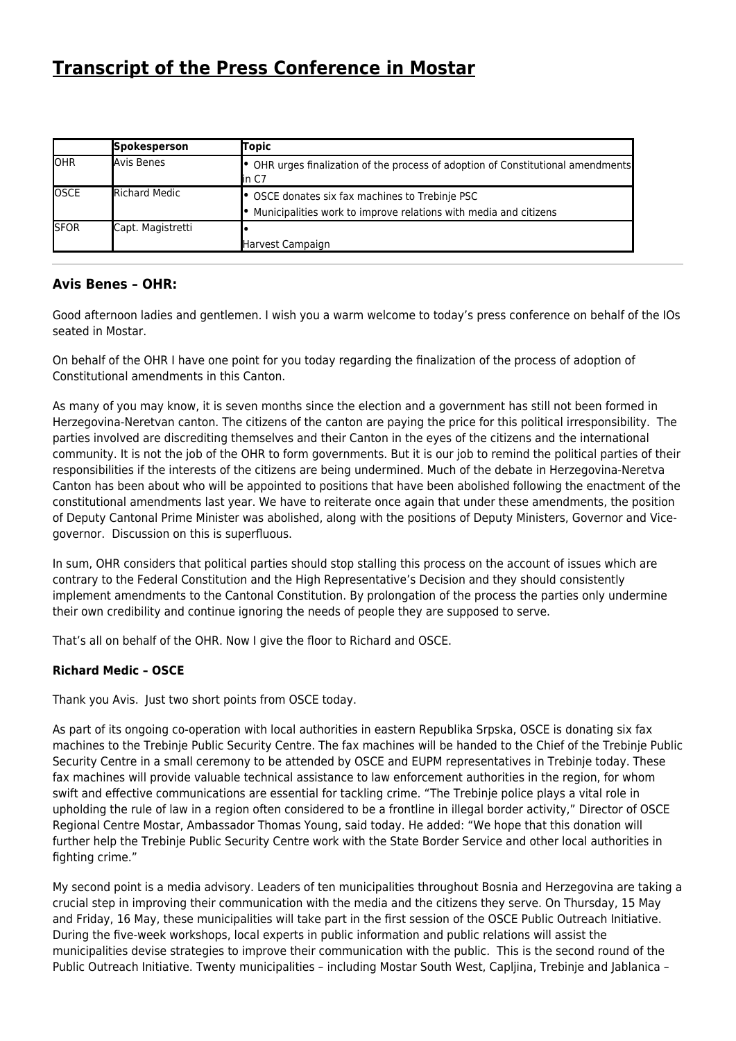# **[Transcript of the Press Conference in Mostar](http://www.ohr.int/ohr_archive/transcript-of-the-press-conference-in-mostar-41/)**

|               | Spokesperson         | Topic                                                                                      |
|---------------|----------------------|--------------------------------------------------------------------------------------------|
| <b>I</b> OHR  | Avis Benes           | • OHR urges finalization of the process of adoption of Constitutional amendments<br>lin C7 |
| <b>OSCE</b>   | <b>Richard Medic</b> | • OSCE donates six fax machines to Trebinje PSC                                            |
|               |                      | Municipalities work to improve relations with media and citizens                           |
| <b>I</b> SFOR | Capt. Magistretti    |                                                                                            |
|               |                      | Harvest Campaign                                                                           |

## **Avis Benes – OHR:**

Good afternoon ladies and gentlemen. I wish you a warm welcome to today's press conference on behalf of the IOs seated in Mostar.

On behalf of the OHR I have one point for you today regarding the finalization of the process of adoption of Constitutional amendments in this Canton.

As many of you may know, it is seven months since the election and a government has still not been formed in Herzegovina-Neretvan canton. The citizens of the canton are paying the price for this political irresponsibility. The parties involved are discrediting themselves and their Canton in the eyes of the citizens and the international community. It is not the job of the OHR to form governments. But it is our job to remind the political parties of their responsibilities if the interests of the citizens are being undermined. Much of the debate in Herzegovina-Neretva Canton has been about who will be appointed to positions that have been abolished following the enactment of the constitutional amendments last year. We have to reiterate once again that under these amendments, the position of Deputy Cantonal Prime Minister was abolished, along with the positions of Deputy Ministers, Governor and Vicegovernor. Discussion on this is superfluous.

In sum, OHR considers that political parties should stop stalling this process on the account of issues which are contrary to the Federal Constitution and the High Representative's Decision and they should consistently implement amendments to the Cantonal Constitution. By prolongation of the process the parties only undermine their own credibility and continue ignoring the needs of people they are supposed to serve.

That's all on behalf of the OHR. Now I give the floor to Richard and OSCE.

### **Richard Medic – OSCE**

Thank you Avis. Just two short points from OSCE today.

As part of its ongoing co-operation with local authorities in eastern Republika Srpska, OSCE is donating six fax machines to the Trebinje Public Security Centre. The fax machines will be handed to the Chief of the Trebinje Public Security Centre in a small ceremony to be attended by OSCE and EUPM representatives in Trebinje today. These fax machines will provide valuable technical assistance to law enforcement authorities in the region, for whom swift and effective communications are essential for tackling crime. "The Trebinje police plays a vital role in upholding the rule of law in a region often considered to be a frontline in illegal border activity," Director of OSCE Regional Centre Mostar, Ambassador Thomas Young, said today. He added: "We hope that this donation will further help the Trebinje Public Security Centre work with the State Border Service and other local authorities in fighting crime."

My second point is a media advisory. Leaders of ten municipalities throughout Bosnia and Herzegovina are taking a crucial step in improving their communication with the media and the citizens they serve. On Thursday, 15 May and Friday, 16 May, these municipalities will take part in the first session of the OSCE Public Outreach Initiative. During the five-week workshops, local experts in public information and public relations will assist the municipalities devise strategies to improve their communication with the public. This is the second round of the Public Outreach Initiative. Twenty municipalities – including Mostar South West, Capljina, Trebinje and Jablanica –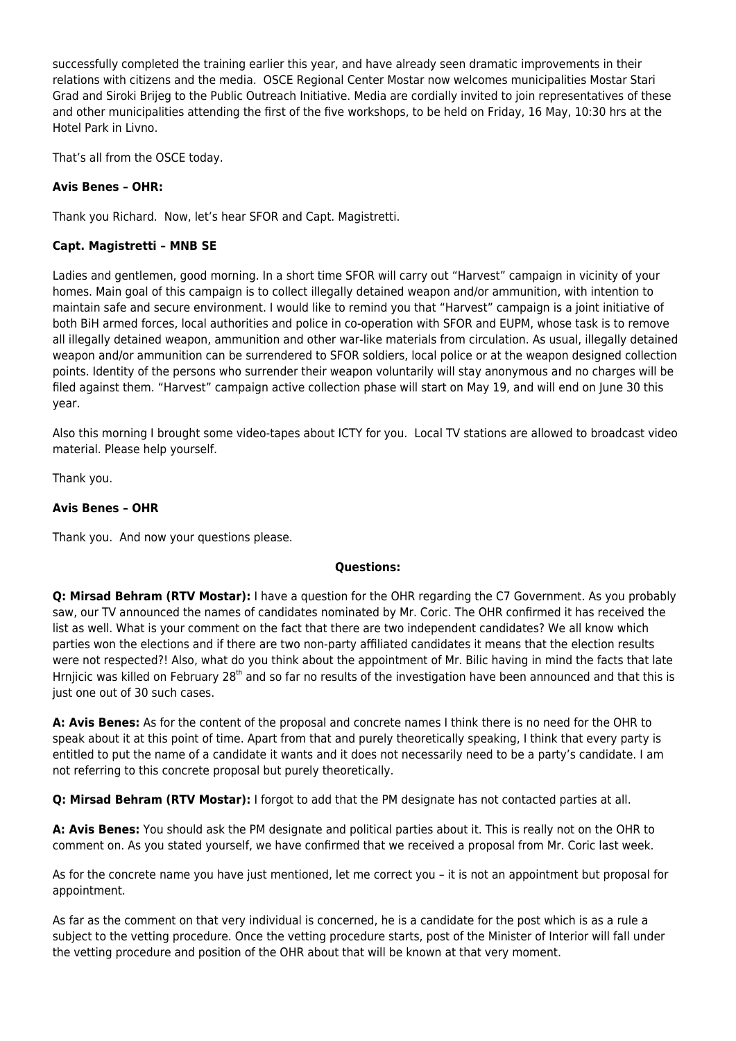successfully completed the training earlier this year, and have already seen dramatic improvements in their relations with citizens and the media. OSCE Regional Center Mostar now welcomes municipalities Mostar Stari Grad and Siroki Brijeg to the Public Outreach Initiative. Media are cordially invited to join representatives of these and other municipalities attending the first of the five workshops, to be held on Friday, 16 May, 10:30 hrs at the Hotel Park in Livno.

That's all from the OSCE today.

#### **Avis Benes – OHR:**

Thank you Richard. Now, let's hear SFOR and Capt. Magistretti.

#### **Capt. Magistretti – MNB SE**

Ladies and gentlemen, good morning. In a short time SFOR will carry out "Harvest" campaign in vicinity of your homes. Main goal of this campaign is to collect illegally detained weapon and/or ammunition, with intention to maintain safe and secure environment. I would like to remind you that "Harvest" campaign is a joint initiative of both BiH armed forces, local authorities and police in co-operation with SFOR and EUPM, whose task is to remove all illegally detained weapon, ammunition and other war-like materials from circulation. As usual, illegally detained weapon and/or ammunition can be surrendered to SFOR soldiers, local police or at the weapon designed collection points. Identity of the persons who surrender their weapon voluntarily will stay anonymous and no charges will be filed against them. "Harvest" campaign active collection phase will start on May 19, and will end on June 30 this year.

Also this morning I brought some video-tapes about ICTY for you. Local TV stations are allowed to broadcast video material. Please help yourself.

Thank you.

#### **Avis Benes – OHR**

Thank you. And now your questions please.

#### **Questions:**

**Q: Mirsad Behram (RTV Mostar):** I have a question for the OHR regarding the C7 Government. As you probably saw, our TV announced the names of candidates nominated by Mr. Coric. The OHR confirmed it has received the list as well. What is your comment on the fact that there are two independent candidates? We all know which parties won the elections and if there are two non-party affiliated candidates it means that the election results were not respected?! Also, what do you think about the appointment of Mr. Bilic having in mind the facts that late Hrnjicic was killed on February 28<sup>th</sup> and so far no results of the investigation have been announced and that this is just one out of 30 such cases.

**A: Avis Benes:** As for the content of the proposal and concrete names I think there is no need for the OHR to speak about it at this point of time. Apart from that and purely theoretically speaking, I think that every party is entitled to put the name of a candidate it wants and it does not necessarily need to be a party's candidate. I am not referring to this concrete proposal but purely theoretically.

**Q: Mirsad Behram (RTV Mostar):** I forgot to add that the PM designate has not contacted parties at all.

**A: Avis Benes:** You should ask the PM designate and political parties about it. This is really not on the OHR to comment on. As you stated yourself, we have confirmed that we received a proposal from Mr. Coric last week.

As for the concrete name you have just mentioned, let me correct you – it is not an appointment but proposal for appointment.

As far as the comment on that very individual is concerned, he is a candidate for the post which is as a rule a subject to the vetting procedure. Once the vetting procedure starts, post of the Minister of Interior will fall under the vetting procedure and position of the OHR about that will be known at that very moment.